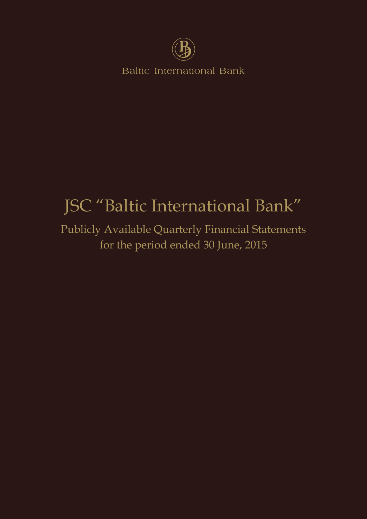

**Baltic International Bank** 

# JSC "Baltic International Bank"

Publicly Available Quarterly Financial Statements for the period ended 30 June, 2015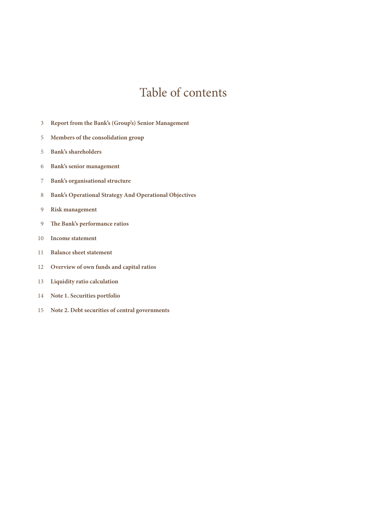### Table of contents

- **Report from the Bank's (Group's) Senior Management**
- **Members of the consolidation group**
- **Bank's shareholders**
- **Bank's senior management**
- **Bank's organisational structure**
- **Bank's Operational Strategy And Operational Objectives**
- **Risk management**
- **The Bank's performance ratios**
- **Income statement**
- **Balance sheet statement**
- **Overview of own funds and capital ratios**
- **Liquidity ratio calculation**
- **Note 1. Securities portfolio**
- **Note 2. Debt securities of central governments**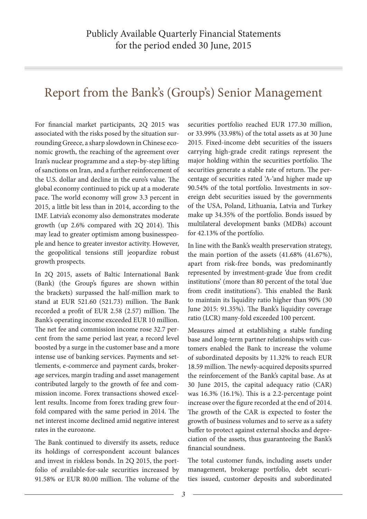### Report from the Bank's (Group's) Senior Management

For financial market participants, 2Q 2015 was associated with the risks posed by the situation surrounding Greece, a sharp slowdown in Chinese economic growth, the reaching of the agreement over Iran's nuclear programme and a step-by-step lifting of sanctions on Iran, and a further reinforcement of the U.S. dollar and decline in the euro's value. The global economy continued to pick up at a moderate pace. The world economy will grow 3.3 percent in 2015, a little bit less than in 2014, according to the IMF. Latvia's economy also demonstrates moderate growth (up 2.6% compared with 2Q 2014). This may lead to greater optimism among businesspeople and hence to greater investor activity. However, the geopolitical tensions still jeopardize robust growth prospects.

In 2Q 2015, assets of Baltic International Bank (Bank) (the Group's figures are shown within the brackets) surpassed the half-million mark to stand at EUR 521.60 (521.73) million. The Bank recorded a profit of EUR 2.58 (2.57) million. The Bank's operating income exceeded EUR 10 million. The net fee and commission income rose 32.7 percent from the same period last year, a record level boosted by a surge in the customer base and a more intense use of banking services. Payments and settlements, e-commerce and payment cards, brokerage services, margin trading and asset management contributed largely to the growth of fee and commission income. Forex transactions showed excellent results. Income from forex trading grew fourfold compared with the same period in 2014. The net interest income declined amid negative interest rates in the eurozone.

The Bank continued to diversify its assets, reduce its holdings of correspondent account balances and invest in riskless bonds. In 2Q 2015, the portfolio of available-for-sale securities increased by 91.58% or EUR 80.00 million. The volume of the securities portfolio reached EUR 177.30 million, or 33.99% (33.98%) of the total assets as at 30 June 2015. Fixed-income debt securities of the issuers carrying high-grade credit ratings represent the major holding within the securities portfolio. The securities generate a stable rate of return. The percentage of securities rated 'A-'and higher made up 90.54% of the total portfolio. Investments in sovereign debt securities issued by the governments of the USA, Poland, Lithuania, Latvia and Turkey make up 34.35% of the portfolio. Bonds issued by multilateral development banks (MDBs) account for 42.13% of the portfolio.

In line with the Bank's wealth preservation strategy, the main portion of the assets (41.68% (41.67%), apart from risk-free bonds, was predominantly represented by investment-grade 'due from credit institutions' (more than 80 percent of the total 'due from credit institutions'). This enabled the Bank to maintain its liquidity ratio higher than 90% (30 June 2015: 91.35%). The Bank's liquidity coverage ratio (LCR) many-fold exceeded 100 percent.

Measures aimed at establishing a stable funding base and long-term partner relationships with customers enabled the Bank to increase the volume of subordinated deposits by 11.32% to reach EUR 18.59 million. The newly-acquired deposits spurred the reinforcement of the Bank's capital base. As at 30 June 2015, the capital adequacy ratio (CAR) was 16.3% (16.1%). This is a 2.2-percentage point increase over the figure recorded at the end of 2014. The growth of the CAR is expected to foster the growth of business volumes and to serve as a safety buffer to protect against external shocks and depreciation of the assets, thus guaranteeing the Bank's financial soundness.

The total customer funds, including assets under management, brokerage portfolio, debt securities issued, customer deposits and subordinated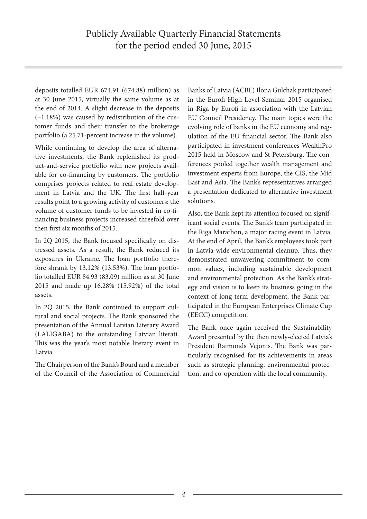deposits totalled EUR 674.91 (674.88) million) as at 30 June 2015, virtually the same volume as at the end of 2014. A slight decrease in the deposits (–1.18%) was caused by redistribution of the customer funds and their transfer to the brokerage portfolio (a 25.71-percent increase in the volume).

While continuing to develop the area of alternative investments, the Bank replenished its product-and-service portfolio with new projects available for co-financing by customers. The portfolio comprises projects related to real estate development in Latvia and the UK. The first half-year results point to a growing activity of customers: the volume of customer funds to be invested in co-financing business projects increased threefold over then first six months of 2015.

In 2Q 2015, the Bank focused specifically on distressed assets. As a result, the Bank reduced its exposures in Ukraine. The loan portfolio therefore shrank by 13.12% (13.53%). The loan portfolio totalled EUR 84.93 (83.09) million as at 30 June 2015 and made up 16.28% (15.92%) of the total assets.

In 2Q 2015, the Bank continued to support cultural and social projects. The Bank sponsored the presentation of the Annual Latvian Literary Award (LALIGABA) to the outstanding Latvian literati. This was the year's most notable literary event in Latvia.

The Chairperson of the Bank's Board and a member of the Council of the Association of Commercial

Banks of Latvia (ACBL) Ilona Gulchak participated in the Eurofi High Level Seminar 2015 organised in Riga by Eurofi in association with the Latvian EU Council Presidency. The main topics were the evolving role of banks in the EU economy and regulation of the EU financial sector. The Bank also participated in investment conferences WealthPro 2015 held in Moscow and St Petersburg. The conferences pooled together wealth management and investment experts from Europe, the CIS, the Mid East and Asia. The Bank's representatives arranged a presentation dedicated to alternative investment solutions.

Also, the Bank kept its attention focused on significant social events. The Bank's team participated in the Riga Marathon, a major racing event in Latvia. At the end of April, the Bank's employees took part in Latvia-wide environmental cleanup. Thus, they demonstrated unwavering commitment to common values, including sustainable development and environmental protection. As the Bank's strategy and vision is to keep its business going in the context of long-term development, the Bank participated in the European Enterprises Climate Cup (EECC) competition.

The Bank once again received the Sustainability Award presented by the then newly-elected Latvia's President Raimonds Vejonis. The Bank was particularly recognised for its achievements in areas such as strategic planning, environmental protection, and co-operation with the local community.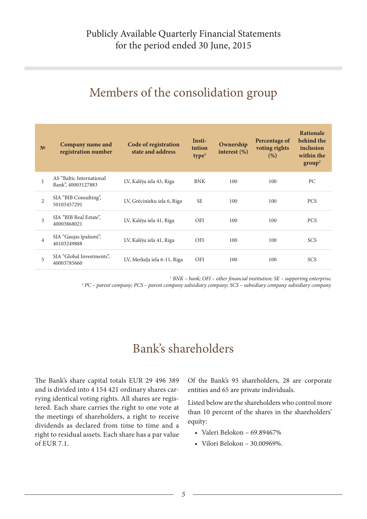### Members of the consolidation group

| N <sup>2</sup> | Company name and<br>registration number        | Code of registration<br>state and address | Insti-<br>tution<br>type <sup>1</sup> | Ownership<br>interest $(\%)$ | Percentage of<br>voting rights<br>(%) | <b>Rationale</b><br>behind the<br>inclusion<br>within the<br>group <sup>2</sup> |
|----------------|------------------------------------------------|-------------------------------------------|---------------------------------------|------------------------------|---------------------------------------|---------------------------------------------------------------------------------|
| 1              | AS "Baltic International<br>Bank", 40003127883 | LV, Kalēju iela 43, Riga                  | <b>BNK</b>                            | 100                          | 100                                   | PC                                                                              |
| $\overline{2}$ | SIA "BIB Consulting",<br>50103457291           | LV, Grēcinieku iela 6, Riga               | <b>SE</b>                             | 100                          | 100                                   | <b>PCS</b>                                                                      |
| 3              | SIA "BIB Real Estate",<br>40003868021          | LV, Kalēju iela 41, Riga                  | <b>OFI</b>                            | 100                          | 100                                   | <b>PCS</b>                                                                      |
| $\overline{4}$ | SIA "Gaujas īpašumi",<br>40103249888           | LV, Kalēju iela 41, Riga                  | <b>OFI</b>                            | 100                          | 100                                   | <b>SCS</b>                                                                      |
| 5              | SIA "Global Investments",<br>40003785660       | LV, Merkeļa iela 6-11, Riga               | <b>OFI</b>                            | 100                          | 100                                   | <b>SCS</b>                                                                      |

<sup>1</sup> BNK – bank; OFI – other financial institution; SE – supporting enterprise.

*2 PC – parent company; PCS – parent company subsidiary company; SCS – subsidiary company subsidiary company.*

### Bank's shareholders

The Вank's share capital totals EUR 29 496 389 and is divided into 4 154 421 ordinary shares carrying identical voting rights. All shares are registered. Each share carries the right to one vote at the meetings of shareholders, a right to receive dividends as declared from time to time and a right to residual assets. Each share has a par value of EUR 7.1.

Of the Bank's 93 shareholders, 28 are corporate entities and 65 are private individuals.

Listed below are the shareholders who control more than 10 percent of the shares in the shareholders' equity:

- Valeri Belokon 69.89467%
- Vilori Belokon 30.00969%.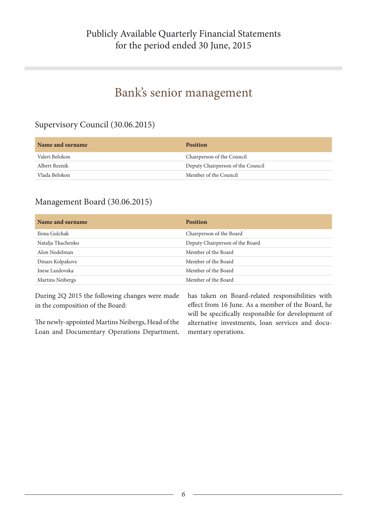### Bank's senior management

#### Supervisory Council (30.06.2015)

| Name and surname | <b>Position</b>                   |
|------------------|-----------------------------------|
| Valeri Belokon   | Chairperson of the Council        |
| Albert Reznik    | Deputy Chairperson of the Council |
| Vlada Belokon    | Member of the Council             |

#### Management Board (30.06.2015)

| Name and surname  | <b>Position</b>                 |
|-------------------|---------------------------------|
| Ilona Gulchak     | Chairperson of the Board        |
| Natalja Tkachenko | Deputy Chairperson of the Board |
| Alon Nodelman     | Member of the Board             |
| Dinars Kolpakovs  | Member of the Board             |
| Inese Lazdovska   | Member of the Board             |
| Martins Neibergs  | Member of the Board             |

During 2Q 2015 the following changes were made in the composition of the Board:

The newly-appointed Martins Neibergs, Head of the Loan and Documentary Operations Department,

has taken on Board-related responsibilities with effect from 16 June. As a member of the Board, he will be specifically responsible for development of alternative investments, loan services and documentary operations.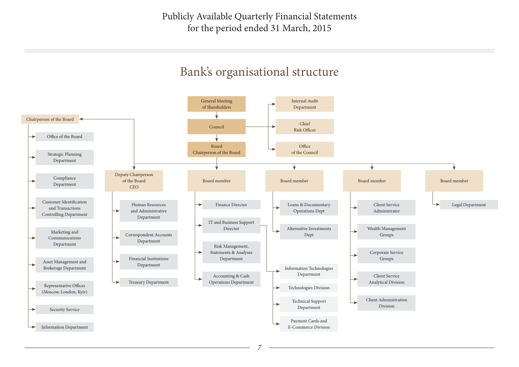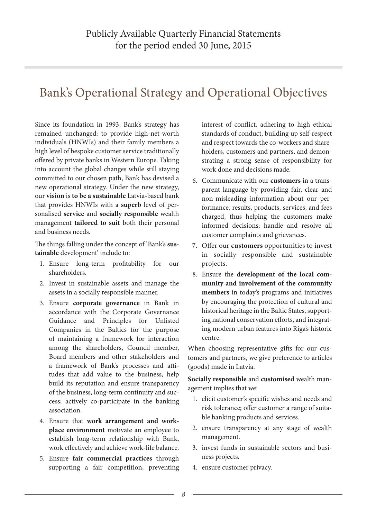### Bank's Operational Strategy and Operational Objectives

Since its foundation in 1993, Bank's strategy has remained unchanged: to provide high-net-worth individuals (HNWIs) and their family members a high level of bespoke customer service traditionally offered by private banks in Western Europe. Taking into account the global changes while still staying committed to our chosen path, Bank has devised a new operational strategy. Under the new strategy, our **vision** is **to be a sustainable** Latvia-based bank that provides HNWIs with a **superb** level of personalised **service** and **socially responsible** wealth management **tailored to suit** both their personal and business needs.

The things falling under the concept of 'Bank's **sustainable** development' include to:

- 1. Ensure long-term profitability for our shareholders.
- 2. Invest in sustainable assets and manage the assets in a socially responsible manner.
- 3. Ensure **corporate governance** in Bank in accordance with the Corporate Governance Guidance and Principles for Unlisted Companies in the Baltics for the purpose of maintaining a framework for interaction among the shareholders, Council member, Board members and other stakeholders and a framework of Bank's processes and attitudes that add value to the business, help build its reputation and ensure transparency of the business, long-term continuity and success; actively co-participate in the banking association.
- 4. Ensure that **work arrangement and workplace environment** motivate an employee to establish long-term relationship with Bank, work effectively and achieve work-life balance.
- 5. Ensure **fair commercial practices** through supporting a fair competition, preventing

interest of conflict, adhering to high ethical standards of conduct, building up self-respect and respect towards the co-workers and shareholders, customers and partners, and demonstrating a strong sense of responsibility for work done and decisions made.

- 6. Communicate with our **customers** in a transparent language by providing fair, clear and non-misleading information about our performance, results, products, services, and fees charged, thus helping the customers make informed decisions; handle and resolve all customer complaints and grievances.
- 7. Offer our **customers** opportunities to invest in socially responsible and sustainable projects.
- 8. Ensure the **development of the local community and involvement of the community members** in today's programs and initiatives by encouraging the protection of cultural and historical heritage in the Baltic States, supporting national conservation efforts, and integrating modern urban features into Riga's historic centre.

When choosing representative gifts for our customers and partners, we give preference to articles (goods) made in Latvia.

**Socially responsible** and **customised** wealth management implies that we:

- 1. elicit customer's specific wishes and needs and risk tolerance; offer customer a range of suitable banking products and services.
- 2. ensure transparency at any stage of wealth management.
- 3. invest funds in sustainable sectors and business projects.
- 4. ensure customer privacy.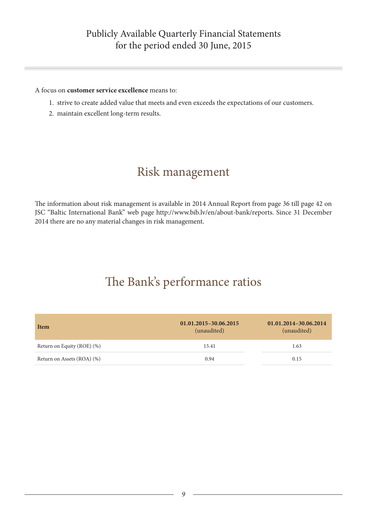### Publicly Available Quarterly Financial Statements for the period ended 30 June, 2015

#### A focus on **customer service excellence** means to:

- 1. strive to create added value that meets and even exceeds the expectations of our customers.
- 2. maintain excellent long-term results.

### Risk management

The information about risk management is available in 2014 Annual Report from page 36 till page 42 on JSC "Baltic International Bank" web page http://www.bib.lv/en/about-bank/reports. Since 31 December 2014 there are no any material changes in risk management.

### The Bank's performance ratios

| Item                       | 01.01.2015-30.06.2015<br>(unaudited) | 01.01.2014-30.06.2014<br>(unaudited) |
|----------------------------|--------------------------------------|--------------------------------------|
| Return on Equity (ROE) (%) | 15.41                                | 1.63                                 |
| Return on Assets (ROA) (%) | 0.94                                 | 0.15                                 |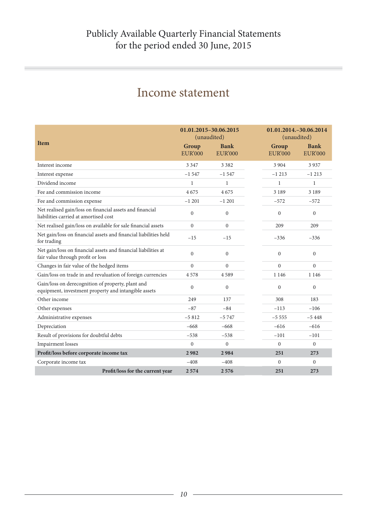| <b>Item</b>                                                                                               | 01.01.2015-30.06.2015<br>(unaudited)<br>Group<br><b>EUR'000</b> | <b>Bank</b><br><b>EUR'000</b> | 01.01.2014. - 30.06.2014<br>(unaudited)<br>Group<br><b>EUR'000</b> | <b>Bank</b><br><b>EUR'000</b> |
|-----------------------------------------------------------------------------------------------------------|-----------------------------------------------------------------|-------------------------------|--------------------------------------------------------------------|-------------------------------|
| Interest income                                                                                           | 3 3 4 7                                                         | 3 3 8 2                       | 3 9 0 4                                                            | 3937                          |
| Interest expense                                                                                          | $-1547$                                                         | $-1547$                       | $-1213$                                                            | $-1213$                       |
| Dividend income                                                                                           | $\mathbf{1}$                                                    | 1                             | $\mathbf{1}$                                                       | $\mathbf{1}$                  |
| Fee and commission income                                                                                 | 4675                                                            | 4675                          | 3 1 8 9                                                            | 3 1 8 9                       |
| Fee and commission expense                                                                                | $-1201$                                                         | $-1201$                       | $-572$                                                             | $-572$                        |
| Net realised gain/loss on financial assets and financial<br>liabilities carried at amortised cost         | $\Omega$                                                        | $\overline{0}$                | $\theta$                                                           | $\theta$                      |
| Net realised gain/loss on available for sale financial assets                                             | $\mathbf{0}$                                                    | $\overline{0}$                | 209                                                                | 209                           |
| Net gain/loss on financial assets and financial liabilities held<br>for trading                           | $-15$                                                           | $-15$                         | $-336$                                                             | $-336$                        |
| Net gain/loss on financial assets and financial liabilities at<br>fair value through profit or loss       | $\Omega$                                                        | $\overline{0}$                | $\theta$                                                           | $\mathbf{0}$                  |
| Changes in fair value of the hedged items                                                                 | $\mathbf{0}$                                                    | $\overline{0}$                | $\overline{0}$                                                     | $\mathbf{0}$                  |
| Gain/loss on trade in and revaluation of foreign currencies                                               | 4578                                                            | 4589                          | 1 1 4 6                                                            | 1 1 4 6                       |
| Gain/loss on derecognition of property, plant and<br>equipment, investment property and intangible assets | $\theta$                                                        | $\overline{0}$                | $\theta$                                                           | $\mathbf{0}$                  |
| Other income                                                                                              | 249                                                             | 137                           | 308                                                                | 183                           |
| Other expenses                                                                                            | $-87$                                                           | $-84$                         | $-113$                                                             | $-106$                        |
| Administrative expenses                                                                                   | $-5812$                                                         | $-5747$                       | $-5555$                                                            | $-5448$                       |
| Depreciation                                                                                              | $-668$                                                          | $-668$                        | $-616$                                                             | $-616$                        |
| Result of provisions for doubtful debts                                                                   | $-538$                                                          | $-538$                        | $-101$                                                             | $-101$                        |
| <b>Impairment</b> losses                                                                                  | $\theta$                                                        | $\theta$                      | $\theta$                                                           | $\theta$                      |
| Profit/loss before corporate income tax                                                                   | 2982                                                            | 2984                          | 251                                                                | 273                           |
| Corporate income tax                                                                                      | $-408$                                                          | $-408$                        | $\theta$                                                           | $\Omega$                      |
| Profit/loss for the current year                                                                          | 2574                                                            | 2576                          | 251                                                                | 273                           |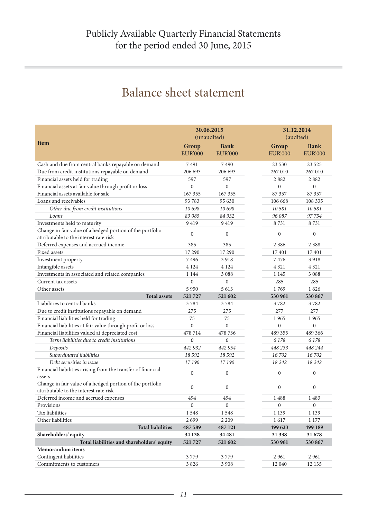### Balance sheet statement

|                                                                                                     |                         | 30.06.2015<br>(unaudited)     |                         | 31.12.2014<br>(audited)       |  |
|-----------------------------------------------------------------------------------------------------|-------------------------|-------------------------------|-------------------------|-------------------------------|--|
| <b>Item</b>                                                                                         | Group<br><b>EUR'000</b> | <b>Bank</b><br><b>EUR'000</b> | Group<br><b>EUR'000</b> | <b>Bank</b><br><b>EUR'000</b> |  |
| Cash and due from central banks repayable on demand                                                 | 7491                    | 7490                          | 23 530                  | 23 5 25                       |  |
| Due from credit institutions repayable on demand                                                    | 206 693                 | 206 693                       | 267 010                 | 267 010                       |  |
| Financial assets held for trading                                                                   | 597                     | 597                           | 2882                    | 2882                          |  |
| Financial assets at fair value through profit or loss                                               | $\overline{0}$          | $\mathbf{0}$                  | $\boldsymbol{0}$        | $\boldsymbol{0}$              |  |
| Financial assets available for sale                                                                 | 167 355                 | 167 355                       | 87 357                  | 87 357                        |  |
| Loans and receivables                                                                               | 93783                   | 95 630                        | 106 668                 | 108 335                       |  |
| Other due from credit institutions                                                                  | 10698                   | 10 698                        | 10 581                  | 10581                         |  |
| Loans                                                                                               | 83 085                  | 84 932                        | 96 087                  | 97754                         |  |
| Investments held to maturity                                                                        | 9419                    | 9419                          | 8731                    | 8731                          |  |
| Change in fair value of a hedged portion of the portfolio<br>attributable to the interest rate risk | $\mathbf{0}$            | $\boldsymbol{0}$              | $\boldsymbol{0}$        | $\boldsymbol{0}$              |  |
| Deferred expenses and accrued income                                                                | 385                     | 385                           | 2 3 8 6                 | 2 3 8 8                       |  |
| Fixed assets                                                                                        | 17 290                  | 17 290                        | 17401                   | 17401                         |  |
| Investment property                                                                                 | 7496                    | 3918                          | 7476                    | 3918                          |  |
| Intangible assets                                                                                   | 4 1 2 4                 | 4 1 2 4                       | 4 3 2 1                 | 4 3 2 1                       |  |
| Investments in associated and related companies                                                     | 1 1 4 4                 | 3 0 8 8                       | 1 1 4 5                 | 3 0 8 8                       |  |
| Current tax assets                                                                                  | $\mathbf{0}$            | $\overline{0}$                | 285                     | 285                           |  |
| Other assets                                                                                        | 5 9 5 0                 | 5 6 1 3                       | 1769                    | 1626                          |  |
| <b>Total assets</b>                                                                                 | 521727                  | 521 602                       | 530 961                 | 530 867                       |  |
| Liabilities to central banks                                                                        | 3784                    | 3784                          | 3782                    | 3782                          |  |
| Due to credit institutions repayable on demand                                                      | 275                     | 275                           | 277                     | 277                           |  |
| Financial liabilities held for trading                                                              | 75                      | 75                            | 1965                    | 1965                          |  |
| Financial liabilities at fair value through profit or loss                                          | $\theta$                | $\mathbf{0}$                  | $\mathbf{0}$            | $\overline{0}$                |  |
| Financial liabilities valued at depreciated cost                                                    | 478714                  | 478 736                       | 489 355                 | 489 366                       |  |
| Term liabilities due to credit institutions                                                         | $\theta$                | $\theta$                      | 6178                    | 6 1 7 8                       |  |
| Deposits                                                                                            | 442 932                 | 442 954                       | 448 233                 | 448 244                       |  |
| Subordinated liabilities                                                                            | 18 5 9 2                | 18 5 9 2                      | 16702                   | 16702                         |  |
| Debt securities in issue                                                                            | 17190                   | 17 190                        | 18 24 2                 | 18 24 2                       |  |
| Financial liabilities arising from the transfer of financial<br>assets                              | $\mathbf{0}$            | $\mathbf{0}$                  | $\boldsymbol{0}$        | $\boldsymbol{0}$              |  |
| Change in fair value of a hedged portion of the portfolio<br>attributable to the interest rate risk | $\mathbf{0}$            | $\mathbf{0}$                  | $\boldsymbol{0}$        | $\boldsymbol{0}$              |  |
| Deferred income and accrued expenses                                                                | 494                     | 494                           | 1488                    | 1483                          |  |
| Provisions                                                                                          | $\boldsymbol{0}$        | $\boldsymbol{0}$              | $\boldsymbol{0}$        | $\boldsymbol{0}$              |  |
| Tax liabilities                                                                                     | 1548                    | 1548                          | 1 1 3 9                 | 1 1 3 9                       |  |
| Other liabilities                                                                                   | 2699                    | 2 2 0 9                       | 1617                    | 1 177                         |  |
| <b>Total liabilities</b>                                                                            | 487 589                 | 487 121                       | 499 623                 | 499 189                       |  |
| Shareholders' equity                                                                                | 34 138                  | 34 481                        | 31 338                  | 31 678                        |  |
| Total liabilities and shareholders' equity                                                          | 521727                  | 521 602                       | 530 961                 | 530 867                       |  |
| Memorandum items                                                                                    |                         |                               |                         |                               |  |
| Contingent liabilities                                                                              | 3779                    | 3779                          | 2961                    | 2961                          |  |
| Commitments to customers                                                                            | 3 8 2 6                 | 3 9 0 8                       | 12 040                  | 12 135                        |  |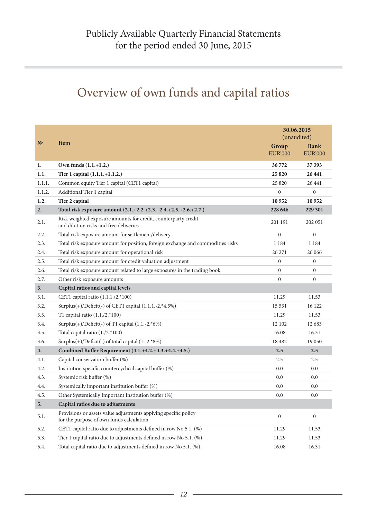### Overview of own funds and capital ratios

|              |                                                                                                             |                         | 30.06.2015<br>(unaudited)     |  |  |
|--------------|-------------------------------------------------------------------------------------------------------------|-------------------------|-------------------------------|--|--|
| $N^{\Omega}$ | <b>Item</b>                                                                                                 | Group<br><b>EUR'000</b> | <b>Bank</b><br><b>EUR'000</b> |  |  |
| 1.           | Own funds (1.1.+1.2.)                                                                                       | 36772                   | 37 393                        |  |  |
| 1.1.         | Tier 1 capital (1.1.1.+1.1.2.)                                                                              | 25820                   | 26 441                        |  |  |
| 1.1.1.       | Common equity Tier 1 capital (CET1 capital)                                                                 | 25 8 20                 | 26 441                        |  |  |
| 1.1.2.       | Additional Tier 1 capital                                                                                   | 0                       | $\boldsymbol{0}$              |  |  |
| 1.2.         | Tier 2 capital                                                                                              | 10952                   | 10952                         |  |  |
| 2.           | Total risk exposure amount (2.1.+2.2.+2.3.+2.4.+2.5.+2.6.+2.7.)                                             | 228 646                 | 229 301                       |  |  |
| 2.1.         | Risk weighted exposure amounts for credit, counterparty credit<br>and dilution risks and free deliveries    | 201 191                 | 202 051                       |  |  |
| 2.2.         | Total risk exposure amount for settlement/delivery                                                          | $\overline{0}$          | $\mathbf{0}$                  |  |  |
| 2.3.         | Total risk exposure amount for position, foreign exchange and commodities risks                             | 1 1 8 4                 | 1 1 8 4                       |  |  |
| 2.4.         | Total risk exposure amount for operational risk                                                             | 26 27 1                 | 26 06 6                       |  |  |
| 2.5.         | Total risk exposure amount for credit valuation adjustment                                                  | $\overline{0}$          | $\mathbf{0}$                  |  |  |
| 2.6.         | Total risk exposure amount related to large exposures in the trading book                                   | $\Omega$                | $\boldsymbol{0}$              |  |  |
| 2.7.         | Other risk exposure amounts                                                                                 | $\Omega$                | $\mathbf{0}$                  |  |  |
| 3.           | Capital ratios and capital levels                                                                           |                         |                               |  |  |
| 3.1.         | CET1 capital ratio (1.1.1./2.*100)                                                                          | 11.29                   | 11.53                         |  |  |
| 3.2.         | Surplus(+)/Deficit(-) of CET1 capital (1.1.1.-2.*4.5%)                                                      | 15 5 3 1                | 16 122                        |  |  |
| 3.3.         | T1 capital ratio $(1.1./2.*100)$                                                                            | 11.29                   | 11.53                         |  |  |
| 3.4.         | Surplus $(+)/$ Deficit $(-)$ of T1 capital $(1.1.-2.*6%)$                                                   | 12 102                  | 12 683                        |  |  |
| 3.5.         | Total capital ratio (1./2.*100)                                                                             | 16.08                   | 16.31                         |  |  |
| 3.6.         | Surplus(+)/Deficit(-) of total capital (1.-2.*8%)                                                           | 18 4 8 2                | 19 0 50                       |  |  |
| 4.           | Combined Buffer Requirement (4.1.+4.2.+4.3.+4.4.+4.5.)                                                      | 2.5                     | 2.5                           |  |  |
| 4.1.         | Capital conservation buffer (%)                                                                             | 2.5                     | 2.5                           |  |  |
| 4.2.         | Institution specific countercyclical capital buffer (%)                                                     | 0.0                     | 0.0                           |  |  |
| 4.3.         | Systemic risk buffer (%)                                                                                    | 0.0                     | 0.0                           |  |  |
| 4.4.         | Systemically important institution buffer (%)                                                               | 0.0                     | 0.0                           |  |  |
| 4.5.         | Other Systemically Important Institution buffer (%)                                                         | 0.0                     | 0.0                           |  |  |
| 5.           | Capital ratios due to adjustments                                                                           |                         |                               |  |  |
| 5.1.         | Provisions or assets value adjustments applying specific policy<br>for the purpose of own funds calculation | $\boldsymbol{0}$        | $\boldsymbol{0}$              |  |  |
| 5.2.         | CET1 capital ratio due to adjustments defined in row No 5.1. (%)                                            | 11.29                   | 11.53                         |  |  |
| 5.3.         | Tier 1 capital ratio due to adjustments defined in row No 5.1. (%)                                          | 11.29                   | 11.53                         |  |  |
| 5.4.         | Total capital ratio due to adjustments defined in row No 5.1. (%)                                           | 16.08                   | 16.31                         |  |  |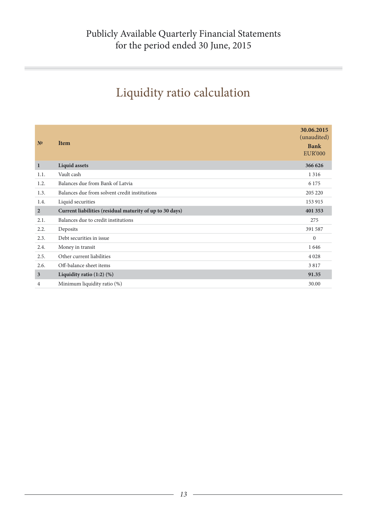## Liquidity ratio calculation

| N <sup>0</sup>          | <b>Item</b>                                              | 30.06.2015<br>(unaudited)<br><b>Bank</b><br><b>EUR'000</b> |
|-------------------------|----------------------------------------------------------|------------------------------------------------------------|
| $\mathbf{1}$            | <b>Liquid assets</b>                                     | 366 626                                                    |
| 1.1.                    | Vault cash                                               | 1 3 1 6                                                    |
| 1.2.                    | Balances due from Bank of Latvia                         | 6 1 7 5                                                    |
| 1.3.                    | Balances due from solvent credit institutions            | 205 220                                                    |
| 1.4.                    | Liquid securities                                        | 153 915                                                    |
| $\overline{2}$          | Current liabilities (residual maturity of up to 30 days) | 401 353                                                    |
| 2.1.                    | Balances due to credit institutions                      | 275                                                        |
| 2.2.                    | Deposits                                                 | 391 587                                                    |
| 2.3.                    | Debt securities in issue                                 | $\mathbf{0}$                                               |
| 2.4.                    | Money in transit                                         | 1646                                                       |
| 2.5.                    | Other current liabilities                                | 4 0 28                                                     |
| 2.6.                    | Off-balance sheet items                                  | 3817                                                       |
| $\overline{\mathbf{3}}$ | Liquidity ratio $(1:2)$ $(\%)$                           | 91.35                                                      |
| 4                       | Minimum liquidity ratio (%)                              | 30.00                                                      |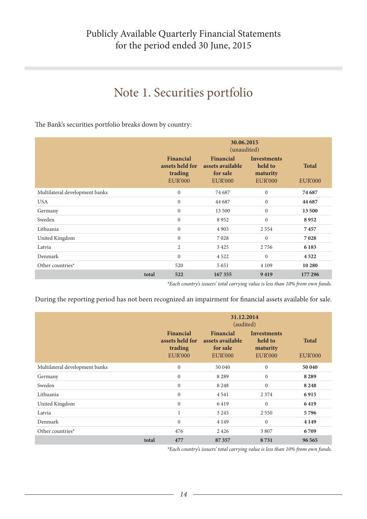### Note 1. Securities portfolio

The Bank's securities portfolio breaks down by country:

|                                |       | 30.06.2015<br>(unaudited)                                 |                                                             |                                                             |                                |
|--------------------------------|-------|-----------------------------------------------------------|-------------------------------------------------------------|-------------------------------------------------------------|--------------------------------|
|                                |       | Financial<br>assets held for<br>trading<br><b>EUR'000</b> | Financial<br>assets available<br>for sale<br><b>EUR'000</b> | <b>Investments</b><br>held to<br>maturity<br><b>EUR'000</b> | <b>Total</b><br><b>EUR'000</b> |
| Multilateral development banks |       | $\mathbf{0}$                                              | 74 687                                                      | $\mathbf{0}$                                                | 74 687                         |
| <b>USA</b>                     |       | $\mathbf{0}$                                              | 44 687                                                      | $\mathbf{0}$                                                | 44 687                         |
| Germany                        |       | $\mathbf{0}$                                              | 13 500                                                      | $\boldsymbol{0}$                                            | 13500                          |
| Sweden                         |       | $\mathbf{0}$                                              | 8952                                                        | $\mathbf{0}$                                                | 8952                           |
| Lithuania                      |       | $\mathbf{0}$                                              | 4 9 0 3                                                     | 2 5 5 4                                                     | 7457                           |
| United Kingdom                 |       | $\mathbf{0}$                                              | 7028                                                        | $\mathbf{0}$                                                | 7028                           |
| Latvia                         |       | $\mathfrak{2}$                                            | 3 4 2 5                                                     | 2756                                                        | 6 1 8 3                        |
| Denmark                        |       | $\mathbf{0}$                                              | 4 5 2 2                                                     | $\Omega$                                                    | 4522                           |
| Other countries*               |       | 520                                                       | 5 6 5 1                                                     | 4 1 0 9                                                     | 10 280                         |
|                                | total | 522                                                       | 167 355                                                     | 9419                                                        | 177 296                        |

*\*Each country's issuers' total carrying value is less than 10% from own funds.*

During the reporting period has not been recognized an impairment for financial assets available for sale.

|                                |       | 31.12.2014<br>(audited)                                   |                                                             |                                                             |                                |
|--------------------------------|-------|-----------------------------------------------------------|-------------------------------------------------------------|-------------------------------------------------------------|--------------------------------|
|                                |       | Financial<br>assets held for<br>trading<br><b>EUR'000</b> | Financial<br>assets available<br>for sale<br><b>EUR'000</b> | <b>Investments</b><br>held to<br>maturity<br><b>EUR'000</b> | <b>Total</b><br><b>EUR'000</b> |
| Multilateral development banks |       | $\mathbf{0}$                                              | 50 040                                                      | $\mathbf{0}$                                                | 50 040                         |
| Germany                        |       | $\mathbf{0}$                                              | 8 2 8 9                                                     | $\mathbf{0}$                                                | 8 2 8 9                        |
| Sweden                         |       | $\mathbf{0}$                                              | 8 2 4 8                                                     | $\mathbf{0}$                                                | 8 2 4 8                        |
| Lithuania                      |       | $\mathbf{0}$                                              | 4 5 4 1                                                     | 2 3 7 4                                                     | 6915                           |
| United Kingdom                 |       | $\mathbf{0}$                                              | 6419                                                        | $\mathbf{0}$                                                | 6419                           |
| Latvia                         |       | $\mathbf{1}$                                              | 3 2 4 5                                                     | 2 5 5 0                                                     | 5796                           |
| Denmark                        |       | $\mathbf{0}$                                              | 4 1 4 9                                                     | $\Omega$                                                    | 4 1 4 9                        |
| Other countries*               |       | 476                                                       | 2 4 2 6                                                     | 3807                                                        | 6709                           |
|                                | total | 477                                                       | 87357                                                       | 8731                                                        | 96 565                         |

*\*Each country's issuers' total carrying value is less than 10% from own funds.*